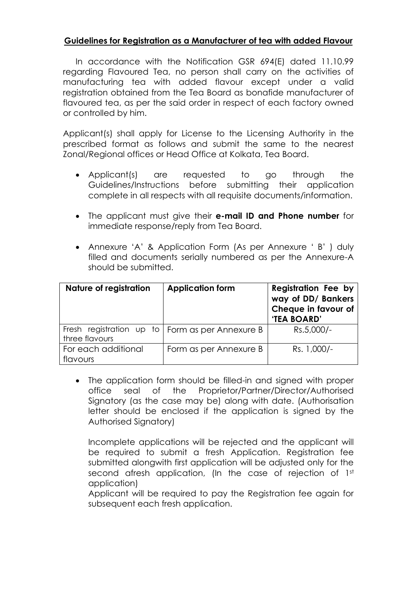## **Guidelines for Registration as a Manufacturer of tea with added Flavour**

In accordance with the Notification GSR 694(E) dated 11.10.99 regarding Flavoured Tea, no person shall carry on the activities of manufacturing tea with added flavour except under a valid registration obtained from the Tea Board as bonafide manufacturer of flavoured tea, as per the said order in respect of each factory owned or controlled by him.

Applicant(s) shall apply for License to the Licensing Authority in the prescribed format as follows and submit the same to the nearest Zonal/Regional offices or Head Office at Kolkata, Tea Board.

- Applicant(s) are requested to go through the Guidelines/Instructions before submitting their application complete in all respects with all requisite documents/information.
- The applicant must give their **e-mail ID and Phone number** for immediate response/reply from Tea Board.
- Annexure 'A' & Application Form (As per Annexure ' B' ) duly filled and documents serially numbered as per the Annexure-A should be submitted.

| Nature of registration          | <b>Application form</b>                           | <b>Registration Fee by</b><br>way of DD/ Bankers<br>Cheque in favour of<br>'TEA BOARD' |
|---------------------------------|---------------------------------------------------|----------------------------------------------------------------------------------------|
| three flavours                  | Fresh registration up to   Form as per Annexure B | Rs.5,000/-                                                                             |
| For each additional<br>flavours | Form as per Annexure B                            | Rs. 1,000/-                                                                            |

• The application form should be filled-in and sianed with proper office seal of the Proprietor/Partner/Director/Authorised Signatory (as the case may be) along with date. (Authorisation letter should be enclosed if the application is signed by the Authorised Signatory)

Incomplete applications will be rejected and the applicant will be required to submit a fresh Application. Registration fee submitted alongwith first application will be adjusted only for the second afresh application, (In the case of rejection of 1st application)

Applicant will be required to pay the Registration fee again for subsequent each fresh application.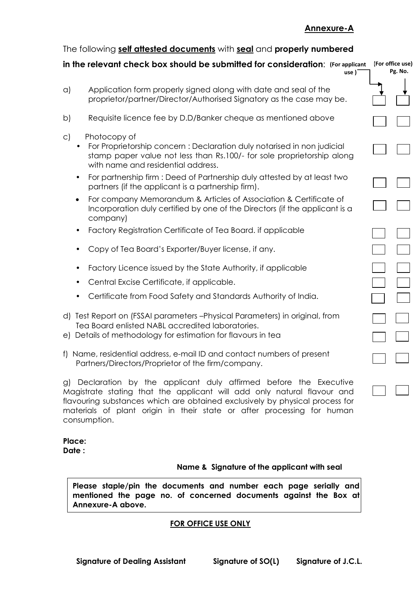### **Annexure-A**

## The following **self attested documents** with **seal** and **properly numbered**

#### **in the relevant check box should be submitted for consideration**: **(For applicant use )**

- a) Application form properly signed along with date and seal of the proprietor/partner/Director/Authorised Signatory as the case may be.
- b) Requisite licence fee by D.D/Banker cheque as mentioned above
- c) Photocopy of
	- For Proprietorship concern : Declaration duly notarised in non judicial stamp paper value not less than Rs.100/- for sole proprietorship along with name and residential address.
	- For partnership firm : Deed of Partnership duly attested by at least two partners (if the applicant is a partnership firm).
	- For company Memorandum & Articles of Association & Certificate of Incorporation duly certified by one of the Directors (if the applicant is a company)
	- Factory Registration Certificate of Tea Board. if applicable
	- Copy of Tea Board"s Exporter/Buyer license, if any.
	- Factory Licence issued by the State Authority, if applicable
	- Central Excise Certificate, if applicable.
	- Certificate from Food Safety and Standards Authority of India.
- d) Test Report on (FSSAI parameters –Physical Parameters) in original, from Tea Board enlisted NABL accredited laboratories.
- e) Details of methodology for estimation for flavours in tea
- f) Name, residential address, e-mail ID and contact numbers of present Partners/Directors/Proprietor of the firm/company.

g) Declaration by the applicant duly affirmed before the Executive Magistrate stating that the applicant will add only natural flavour and flavouring substances which are obtained exclusively by physical process for materials of plant origin in their state or after processing for human consumption.

#### **Place: Date :**

### **Name & Signature of the applicant with seal**

**Please staple/pin the documents and number each page serially and mentioned the page no. of concerned documents against the Box at Annexure-A above.**

### **FOR OFFICE USE ONLY**

| For office use)<br>I |         |  |
|----------------------|---------|--|
|                      | Pg. No. |  |
|                      |         |  |
|                      |         |  |
|                      |         |  |
|                      |         |  |
|                      |         |  |
|                      |         |  |
|                      |         |  |
|                      |         |  |
|                      |         |  |
|                      |         |  |
|                      |         |  |
|                      |         |  |
|                      |         |  |
|                      |         |  |